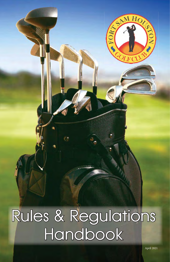# Rules & Regulations Handbook

SAM HOME

 $\bullet$  FOR?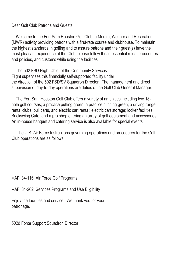Dear Golf Club Patrons and Guests:

 Welcome to the Fort Sam Houston Golf Club, a Morale, Welfare and Recreation (MWR) activity providing patrons with a first-rate course and clubhouse. To maintain the highest standards in golfing and to assure patrons and their guest(s) have the most pleasant experience at the Club, please follow these essential rules, procedures and policies, and customs while using the facilities.

 The 502 FSD Flight Chief of the Community Services Flight supervises this financially self-supported facility under the direction of the 502 FSD/SV Squadron Director. The management and direct supervision of day-to-day operations are duties of the Golf Club General Manager.

 The Fort Sam Houston Golf Club offers a variety of amenities including two 18 hole golf courses; a practice putting green; a practice pitching green; a driving range; rental clubs, pull carts, and electric cart rental; electric cart storage; locker facilities; Backswing Cafe; and a pro shop offering an array of golf equipment and accessories. An in-house banquet and catering service is also available for special events.

 The U.S. Air Force Instructions governing operations and procedures for the Golf Club operations are as follows:

#### •AFI 34-116, Air Force Golf Programs

•AFI 34-262, Services Programs and Use Eligibility

Enjoy the facilities and service. We thank you for your patronage.

502d Force Support Squadron Director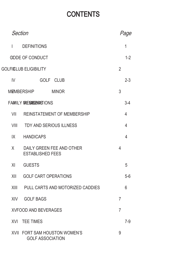# **CONTENTS**

| <b>Section</b>                |                                                          |                | Page           |
|-------------------------------|----------------------------------------------------------|----------------|----------------|
| $\mathsf{L}$                  | <b>DEFINITIONS</b>                                       |                | 1              |
|                               | <b>GDDE OF CONDUCT</b>                                   |                | $1 - 2$        |
| <b>GOLFICLUB ELIGIBILITY</b>  |                                                          |                |                |
| IV                            | GOLF CLUB                                                |                | $2 - 3$        |
|                               | <b>MEMBERSHIP</b><br><b>MINOR</b>                        | 3              |                |
| <b>FAMILY IRESIGENRISIONS</b> |                                                          |                | $3-4$          |
| VII                           | <b>REINSTATEMENT OF MEMBERSHIP</b>                       |                | $\overline{4}$ |
| VIII                          | TDY AND SERIOUS ILLNESS                                  |                | $\overline{4}$ |
| IX                            | <b>HANDICAPS</b>                                         |                | $\overline{4}$ |
| X                             | DAILY GREEN FEE AND OTHER<br><b>ESTABLISHED FEES</b>     | $\overline{4}$ |                |
| XI                            | <b>GUESTS</b>                                            |                | 5              |
| XII                           | <b>GOLF CART OPERATIONS</b>                              |                | $5-6$          |
|                               | XIII PULL CARTS AND MOTORIZED CADDIES                    |                | 6              |
| <b>XIV</b>                    | <b>GOLF BAGS</b>                                         | $\overline{7}$ |                |
| <b>XVFOOD AND BEVERAGES</b>   |                                                          |                |                |
|                               | <b>XVI TEE TIMES</b>                                     |                | $7-9$          |
|                               | XVII FORT SAM HOUSTON WOMEN'S<br><b>GOLF ASSOCIATION</b> | 9              |                |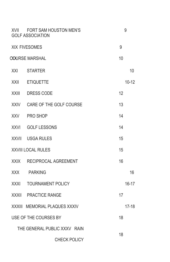| XVII                               | FORT SAM HOUSTON MEN'S<br><b>GOLF ASSOCIATION</b> |    | 9         |
|------------------------------------|---------------------------------------------------|----|-----------|
| <b>XIX FIVESOMES</b>               |                                                   |    |           |
| <b>COURSE MARSHAL</b>              |                                                   |    |           |
| XXI                                | <b>STARTER</b>                                    |    | 10        |
| XXII                               | <b>ETIQUETTE</b>                                  |    | $10 - 12$ |
| <b>XXIII</b>                       | <b>DRESS CODE</b>                                 | 12 |           |
| <b>XXIV</b>                        | CARE OF THE GOLF COURSE                           | 13 |           |
| XXV                                | PRO SHOP                                          | 14 |           |
| <b>XXVI</b>                        | <b>GOLF LESSONS</b>                               | 14 |           |
| <b>XXVII</b>                       | USGA RULES                                        | 15 |           |
| <b>XXVIII LOCAL RULES</b>          |                                                   |    |           |
| XXIX                               | RECIPROCAL AGREEMENT                              | 16 |           |
| <b>XXX</b>                         | <b>PARKING</b>                                    |    | 16        |
| XXXI                               | <b>TOURNAMENT POLICY</b>                          |    | $16 - 17$ |
| <b>XXXII</b>                       | <b>PRACTICE RANGE</b>                             | 17 |           |
| XXXIII                             | <b>MEMORIAL PLAQUES XXXIV</b>                     |    | $17-18$   |
| USE OF THE COURSES BY              |                                                   |    |           |
| THE GENERAL PUBLIC XXXV RAIN<br>18 |                                                   |    |           |
| <b>CHECK POLICY</b>                |                                                   |    |           |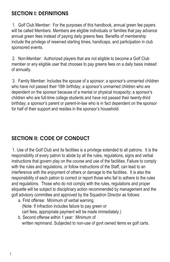### SECTION I: DEFINITIONS

1. Golf Club Member: For the purposes of this handbook, annual green fee payers will be called Members. Members are eligible individuals or families that pay advance annual green fees instead of paying daily greens fees. Benefits of membership include the privilege of reserved starting times; handicaps, and participation in club sponsored events.

2. Non-Member: Authorized players that are not eligible to become a Golf Club member or any eligible user that chooses to pay greens fees on a daily basis instead of annually.

3. Family Member: Includes the spouse of a sponsor; a sponsor's unmarried children who have not passed their 18th birthday; a sponsor's unmarried children who are dependent on the sponsor because of a mental or physical incapacity; a sponsor's children who are full-time college students and have not passed their twenty-third birthday; a sponsor's parent or parent-in-law who is in fact dependent on the sponsor for half of their support and resides in the sponsor's household.

# SECTION II: CODE OF CONDUCT

1. Use of the Golf Club and its facilities is a privilege extended to all patrons. It is the responsibility of every patron to abide by all the rules, regulations, signs and verbal instructions that govern play on the course and use of the facilities. Failure to comply with the rules and regulations, or follow instructions of the Staff, can lead to an interference with the enjoyment of others or damage to the facilities. It is also the responsibility of each patron to correct or report those who fail to adhere to the rules and regulations. Those who do not comply with the rules, regulations and proper etiquette will be subject to disciplinary action recommended by management and the golf advisory committee and approved by the Squadron Director as follows:

- a. First offense: Minimum of verbal warning. (Note: If infraction includes failure to pay green or cart fees, appropriate payment will be made immediately.)
- b. Second offense within 1 year: Minimum of written reprimand. Subjected to non-use of govt owned items ex golf carts.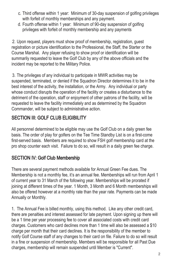- c. Third offense within 1 year: Minimum of 30-day suspension of golfing privileges with forfeit of monthly memberships and any payment.
- d. Fourth offense within 1 year: Minimum of 90-day suspension of golfing privileges with forfeit of monthly membership and any payments

2. Upon request, players must show proof of membership, registration, guest registration or picture identification to the Professional, the Staff, the Starter or the Course Marshal. Any player refusing to show proof or identification will be summarily requested to leave the Golf Club by any of the above officials and the incident may be reported to the Military Police.

3. The privileges of any individual to participate in MWR activities may be suspended, terminated, or denied if the Squadron Director determines it to be in the best interest of the activity, the installation, or the Army. Any individual or party whose conduct disrupts the operation of the facility or creates a disturbance to the detriment of the operation, staff or enjoyment of other patrons of the facility, will be requested to leave the facility immediately and as determined by the Squadron Commander, will be subject to administrative action.

# SECTION III: GOLF CLUB ELIGIBILITY

All personnel determined to be eligible may use the Golf Club on a daily green fee basis. The order of play for golfers on the Tee Time Standby List is on a first-come first-served basis. Members are required to show FSH golf membership card at the pro shop counter each visit. Failure to do so, will result in a daily green fee charge.

# SECTION IV: Golf Club Membership

There are several payment methods available for Annual Green Fee dues. The Membership is not a monthly fee, it's an annual fee. Memberships will run from April 1 of current year to 31 March of the following year. Memberships will be prorated if joining at different times of the year. 1 Month, 3 Month and 6 Month memberships will also be offered however at a monthly rate than the year rate. Payments can be made Annually or Monthly.

1. The Annual Fee is billed monthly, using this method. Like any other credit card, there are penalties and interest assessed for late payment. Upon signing up there will be a 1 time per year processing fee to cover all associated costs with credit card charges. Customers who card declines more than 1 time will also be assessed a \$10 charge per month that their card declines. It is the responsibility of the member to notify Golf Course staff of any changes to their card on file. Failure to do so will result in a fine or suspension of membership. Members will be responsible for all Past Due charges, membership will remain suspended until Member is "Current".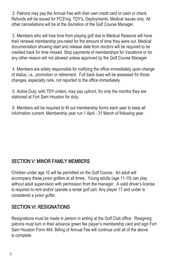2. Patrons may pay the Annual Fee with their own credit card or cash or check. Refunds will be issued for PCS'ing, TDY's, Deployments, Medical Issues only. All other cancellations will be at the discretion of the Golf Course Manager.

3. Members who will lose time from playing golf due to Medical Reasons will have their renewal membership pro-rated for the amount of time they were out. Medical documentation showing start and release date from doctors will be required to be credited back for time missed. Stop payments of memberships for Vacations or for any other reason will not allowed unless approved by the Golf Course Manager

4. Members are solely responsible for notifying the office immediately upon change of status, i.e., promotion or retirement. Full back dues will be assessed for those changes, especially rank, not reported to the office immediately.

5. Active Duty, with TDY orders, may pay upfront, for only the months they are stationed at Fort Sam Houston for duty.

6. Members will be required to fill out membership forms each year to keep all information current. Membership year run 1 April - 31 March of following year.

#### SECTION V: MINOR FAMILY MEMBERS

Children under age 10 will be permitted on the Golf Course. An adult will accompany these junior golfers at all times. Young adults (age 11-15) can play without adult supervision with permission from the manager. A valid driver's license is required to rent and/or operate a rental golf cart. Any player 17 and under is considered a junior golfer.

# SECTION VI: RESIGNATIONS

Resignations must be made in person in writing at the Golf Club office. Resigning patrons must turn in their advance green fee player's membership card and sign Fort Sam Houston Form 464. Billing of Annual Fee will continue until all of the above is complete.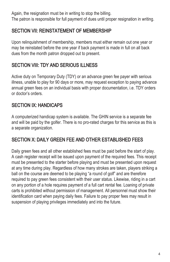Again, the resignation must be in writing to stop the billing. The patron is responsible for full payment of dues until proper resignation in writing.

### SECTION VII: REINSTATEMENT OF MEMBERSHIP

Upon relinquishment of membership, members must either remain out one year or may be reinstated before the one year if back payment is made in full on all back dues from the month patron dropped out to present.

# SECTION VIII: TDY AND SERIOUS ILLNESS

Active duty on Temporary Duty (TDY) or an advance green fee payer with serious illness, unable to play for 90 days or more, may request exception to paying advance annual green fees on an individual basis with proper documentation, i.e. TDY orders or doctor's orders.

# SECTION IX: HANDICAPS

A computerized handicap system is available. The GHIN service is a separate fee and will be paid by the golfer. There is no pro-rated charges for this service as this is a separate organization.

# SECTION X: DAILY GREEN FEE AND OTHER ESTABLISHED FEES

Daily green fees and all other established fees must be paid before the start of play. A cash register receipt will be issued upon payment of the required fees. This receipt must be presented to the starter before playing and must be presented upon request at any time during play. Regardless of how many strokes are taken, players striking a ball on the course are deemed to be playing "a round of golf" and are therefore required to pay green fees consistent with their user status. Likewise, riding in a cart on any portion of a hole requires payment of a full cart rental fee. Loaning of private carts is prohibited without permission of management. All personnel must show their identification card when paying daily fees. Failure to pay proper fees may result in suspension of playing privileges immediately and into the future.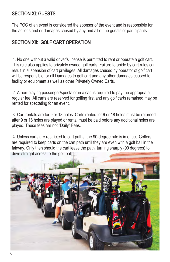#### SECTION XI: GUESTS

The POC of an event is considered the sponsor of the event and is responsible for the actions and or damages caused by any and all of the guests or participants.

#### SECTION XII: GOLF CART OPERATION

1. No one without a valid driver's license is permitted to rent or operate a golf cart. This rule also applies to privately owned golf carts. Failure to abide by cart rules can result in suspension of cart privileges. All damages caused by operator of golf cart will be responsible for all Damages to golf cart and any other damages caused to facility or equipment as well as other Privately Owned Carts.

2. A non-playing passenger/spectator in a cart is required to pay the appropriate regular fee. All carts are reserved for golfing first and any golf carts remained may be rented for spectating for an event.

3. Cart rentals are for 9 or 18 holes. Carts rented for 9 or 18 holes must be returned after 9 or 18 holes are played or rental must be paid before any additional holes are played. These fees are not "Daily" Fees.

4. Unless carts are restricted to cart paths, the 90-degree rule is in effect. Golfers are required to keep carts on the cart path until they are even with a golf ball in the fairway. Only then should the cart leave the path, turning sharply (90 degrees) to drive straight across to the golf ball.

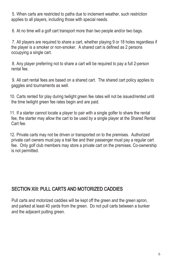5. When carts are restricted to paths due to inclement weather, such restriction applies to all players, including those with special needs.

6. At no time will a golf cart transport more than two people and/or two bags.

7. All players are required to share a cart, whether playing 9 or 18 holes regardless if the player is a smoker or non-smoker. A shared cart is defined as 2 persons occupying a single cart.

8. Any player preferring not to share a cart will be required to pay a full 2-person rental fee.

9. All cart rental fees are based on a shared cart. The shared cart policy applies to gaggles and tournaments as well.

10. Carts rented for play during twilight green fee rates will not be issued/rented until the time twilight green fee rates begin and are paid.

11. If a starter cannot locate a player to pair with a single golfer to share the rental fee, the starter may allow the cart to be used by a single player at the Shared Rental Cart fee.

12. Private carts may not be driven or transported on to the premises. Authorized private cart owners must pay a trail fee and their passenger must pay a regular cart fee. Only golf club members may store a private cart on the premises. Co-ownership is not permitted.

#### SECTION XIII: PULL CARTS AND MOTORIZED CADDIES

Pull carts and motorized caddies will be kept off the green and the green apron, and parked at least 40 yards from the green. Do not pull carts between a bunker and the adjacent putting green.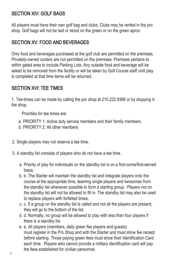#### SECTION XIV: GOLF BAGS

All players must have their own golf bag and clubs. Clubs may be rented in the pro shop. Golf bags will not be laid or stood on the green or on the green apron.

#### SECTION XV: FOOD AND BEVERAGES

Only food and beverages purchased at the golf club are permitted on the premises. Privately-owned coolers are not permitted on the premises. Premises pertains to within gated area to include Parking Lots. Any outside food and beverage will be asked to be removed from the facility or will be taken by Golf Course staff until play is completed at that time items will be returned.

#### SECTION XVI: TEE TIMES

1. Tee-times can be made by calling the pro shop at 210.222.9386 or by stopping in the shop.

Priorities for tee times are:

- a. PRIORITY 1: Active duty service members and their family members.
- b. PRIORITY 2: All other members
- 2. Single players may not reserve a tee time.
- 3. A standby list consists of players who do not have a tee time.
	- a. Priority of play for individuals on the standby list is on a first-come/first-served basis.
	- b. b. The Starter will maintain the standby list and integrate players onto the course at the appropriate time, teaming single players and twosomes from the standby list whenever possible to form a starting group. Players not on the standby list will not be allowed to fill in. The standby list may also be used to replace players with forfeited times.
	- c. c. If a group on the standby list is called and not all the players are present, they will go to the bottom of the list.
	- d. d. Normally, no group will be allowed to play with less than four players if there is a standby list.
	- e. e. All players (members, daily green fee players and guests) must register in the Pro Shop and with the Starter and must show fee receipt before starting. Those paying green fees must show their Identification Card each time. Players who cannot provide a military identification card will pay the fees established for civilian personnel.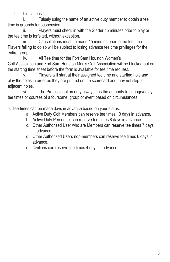f. Limitations

i. Falsely using the name of an active duty member to obtain a tee time is grounds for suspension.

ii. Players must check in with the Starter 15 minutes prior to play or the tee time is forfeited, without exception.

iii. Cancellations must be made 15 minutes prior to the tee time. Players failing to do so will be subject to losing advance tee time privileges for the entire group.

iv. All Tee time for the Fort Sam Houston Women's Golf Association and Fort Sam Houston Men's Golf Association will be blocked out on the starting time sheet before the form is available for tee time request.

v. Players will start at their assigned tee time and starting hole and play the holes in order as they are printed on the scorecard and may not skip to adjacent holes.

vi. The Professional on duty always has the authority to change/delay tee times or courses of a foursome, group or event based on circumstances.

4. Tee-times can be made days in advance based on your status.

- a. Active Duty Golf Members can reserve tee times 10 days in advance.
- b. Active Duty Personnel can reserve tee times 8 days in advance.
- c. Other Authorized User who are Members can reserve tee times 7 days in advance.
- d. Other Authorized Users non-members can reserve tee times 6 days in advance.
- e. Civilians can reserve tee times 4 days in advance.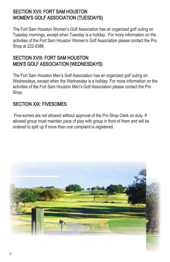#### SECTION XVII: FORT SAM HOUSTON WOMEN'S GOLF ASSOCIATION (TUESDAYS)

The Fort Sam Houston Women's Golf Association has an organized golf outing on Tuesday mornings, except when Tuesday is a holiday. For more information on the activities of the Fort Sam Houston Women's Golf Association please contact the Pro Shop at 222-9386.

#### SECTION XVIII: FORT SAM HOUSTON MEN'S GOLF ASSOCIATION (WEDNESDAYS)

The Fort Sam Houston Men's Golf Association has an organized golf outing on Wednesdays, except when the Wednesday is a holiday. For more information on the activities of the Fort Sam Houston Men's Golf Association please contact the Pro Shop.

#### SECTION XIX: FIVESOMES

 Five-somes are not allowed without approval of the Pro Shop Clerk on duty. If allowed group must maintain pace of play with group in front of them and will be ordered to split up if more than one complaint is registered.

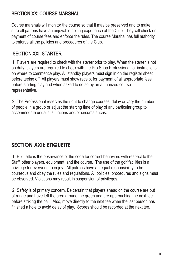# SECTION XX: COURSE MARSHAL

Course marshals will monitor the course so that it may be preserved and to make sure all patrons have an enjoyable golfing experience at the Club. They will check on payment of course fees and enforce the rules. The course Marshal has full authority to enforce all the policies and procedures of the Club.

# SECTION XXI: STARTER

1. Players are required to check with the starter prior to play. When the starter is not on duty, players are required to check with the Pro Shop Professional for instructions on where to commence play. All standby players must sign in on the register sheet before teeing off. All players must show receipt for payment of all appropriate fees before starting play and when asked to do so by an authorized course representative.

2. The Professional reserves the right to change courses, delay or vary the number of people in a group or adjust the starting time of play of any particular group to accommodate unusual situations and/or circumstances.

# SECTION XXII<sup>.</sup> FTIQUETTE

1. Etiquette is the observance of the code for correct behaviors with respect to the Staff, other players, equipment, and the course. The use of the golf facilities is a privilege for everyone to enjoy. All patrons have an equal responsibility to be courteous and obey the rules and regulations. All policies, procedures and signs must be observed. Violations may result in suspension of privileges.

2. Safety is of primary concern. Be certain that players ahead on the course are out of range and have left the area around the green and are approaching the next tee before striking the ball. Also, move directly to the next tee when the last person has finished a hole to avoid delay of play. Scores should be recorded at the next tee.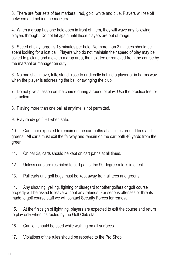3. There are four sets of tee markers: red, gold, white and blue. Players will tee off between and behind the markers.

4. When a group has one hole open in front of them, they will wave any following players through. Do not hit again until those players are out of range.

5. Speed of play target is 13 minutes per hole. No more than 3 minutes should be spent looking for a lost ball. Players who do not maintain their speed of play may be asked to pick up and move to a drop area, the next tee or removed from the course by the marshal or manager on duty.

6. No one shall move, talk, stand close to or directly behind a player or in harms way when the player is addressing the ball or swinging the club.

7. Do not give a lesson on the course during a round of play. Use the practice tee for instruction.

8. Playing more than one ball at anytime is not permitted.

9. Play ready golf. Hit when safe.

10. Carts are expected to remain on the cart paths at all times around tees and greens. All carts must exit the fairway and remain on the cart path 40 yards from the green.

11. On par 3s, carts should be kept on cart paths at all times.

12. Unless carts are restricted to cart paths, the 90-degree rule is in effect.

13. Pull carts and golf bags must be kept away from all tees and greens.

14. Any shouting, yelling, fighting or disregard for other golfers or golf course property will be asked to leave without any refunds. For serious offenses or threats made to golf course staff we will contact Security Forces for removal.

15. At the first sign of lightning, players are expected to exit the course and return to play only when instructed by the Golf Club staff.

16. Caution should be used while walking on all surfaces.

17. Violations of the rules should be reported to the Pro Shop.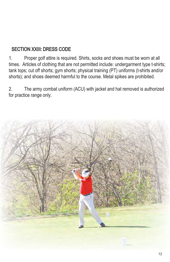## SECTION XXIII: DRESS CODE

1. Proper golf attire is required. Shirts, socks and shoes must be worn at all times. Articles of clothing that are not permitted include: undergarment type t-shirts; tank tops; cut off shorts; gym shorts; physical training (PT) uniforms (t-shirts and/or shorts); and shoes deemed harmful to the course. Metal spikes are prohibited.

2. The army combat uniform (ACU) with jacket and hat removed is authorized for practice range only.

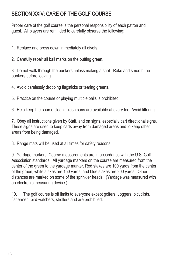# SECTION XXIV: CARE OF THE GOLF COURSE

Proper care of the golf course is the personal responsibility of each patron and guest. All players are reminded to carefully observe the following:

- 1. Replace and press down immediately all divots.
- 2. Carefully repair all ball marks on the putting green.

3. Do not walk through the bunkers unless making a shot. Rake and smooth the bunkers before leaving.

- 4. Avoid carelessly dropping flagsticks or tearing greens.
- 5. Practice on the course or playing multiple balls is prohibited.
- 6. Help keep the course clean. Trash cans are available at every tee. Avoid littering.

7. Obey all instructions given by Staff, and on signs, especially cart directional signs. These signs are used to keep carts away from damaged areas and to keep other areas from being damaged.

8. Range mats will be used at all times for safety reasons.

9. Yardage markers. Course measurements are in accordance with the U.S. Golf Association standards. All yardage markers on the course are measured from the center of the green to the yardage marker. Red stakes are 100 yards from the center of the green; white stakes are 150 yards; and blue stakes are 200 yards. Other distances are marked on some of the sprinkler heads. (Yardage was measured with an electronic measuring device.)

10. The golf course is off limits to everyone except golfers. Joggers, bicyclists, fishermen, bird watchers, strollers and are prohibited.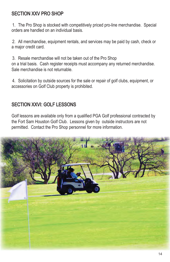#### SECTION XXV PRO SHOP

1. The Pro Shop is stocked with competitively priced pro-line merchandise. Special orders are handled on an individual basis.

2. All merchandise, equipment rentals, and services may be paid by cash, check or a major credit card.

3. Resale merchandise will not be taken out of the Pro Shop on a trial basis. Cash register receipts must accompany any returned merchandise. Sale merchandise is not returnable.

4. Solicitation by outside sources for the sale or repair of golf clubs, equipment, or accessories on Golf Club property is prohibited.

#### SECTION XXVI: GOLF LESSONS

Golf lessons are available only from a qualified PGA Golf professional contracted by the Fort Sam Houston Golf Club. Lessons given by outside instructors are not permitted. Contact the Pro Shop personnel for more information.

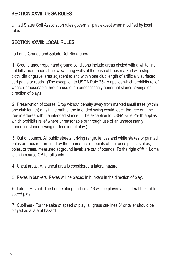#### SECTION XXVII: USGA RULES

United States Golf Association rules govern all play except when modified by local rules.

# SECTION XXVIII: LOCAL RULES

La Loma Grande and Salado Del Rio (general)

1. Ground under repair and ground conditions include areas circled with a white line; ant hills; man-made shallow watering wells at the base of trees marked with strip cloth; dirt or gravel area adjacent to and within one club length of artificially surfaced cart paths or roads. (The exception to USGA Rule 25-1b applies which prohibits relief where unreasonable through use of an unnecessarily abnormal stance, swings or direction of play.)

2. Preservation of course. Drop without penalty away from marked small trees (within one club length) only if the path of the intended swing would touch the tree or if the tree interferes with the intended stance. (The exception to USGA Rule 25-1b applies which prohibits relief where unreasonable or through use of an unnecessarily abnormal stance, swing or direction of play.)

3. Out of bounds. All public streets, driving range, fences and white stakes or painted poles or trees (determined by the nearest inside points of the fence posts, stakes, poles, or trees, measured at ground level) are out of bounds. To the right of #11 Loma is an in course OB for all shots.

4. Uncut areas. Any uncut area is considered a lateral hazard.

5. Rakes in bunkers. Rakes will be placed in bunkers in the direction of play.

6. Lateral Hazard. The hedge along La Loma #3 will be played as a lateral hazard to speed play.

7. Cut-lines - For the sake of speed of play, all grass cut-lines 6" or taller should be played as a lateral hazard.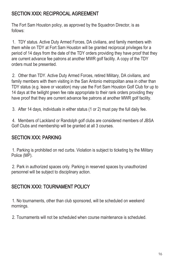#### SECTION XXlX: RECIPROCAL AGREEMENT

The Fort Sam Houston policy, as approved by the Squadron Director, is as follows:

1. TDY status. Active Duty Armed Forces, DA civilians, and family members with them while on TDY at Fort Sam Houston will be granted reciprocal privileges for a period of 14 days from the date of the TDY orders providing they have proof that they are current advance fee patrons at another MWR golf facility. A copy of the TDY orders must be presented.

2. Other than TDY. Active Duty Armed Forces, retired Military, DA civilians, and family members with them visiting in the San Antonio metropolitan area in other than TDY status (e.g. leave or vacation) may use the Fort Sam Houston Golf Club for up to 14 days at the twilight green fee rate appropriate to their rank orders providing they have proof that they are current advance fee patrons at another MWR golf facility.

3. After 14 days, individuals in either status (1 or 2) must pay the full daily fee.

4. Members of Lackland or Randolph golf clubs are considered members of JBSA Golf Clubs and membership will be granted at all 3 courses.

# SECTION XXX: PARKING

1. Parking is prohibited on red curbs. Violation is subject to ticketing by the Military Police (MP).

2. Park in authorized spaces only. Parking in reserved spaces by unauthorized personnel will be subject to disciplinary action.

#### SECTION XXXI: TOURNAMENT POLICY

1. No tournaments, other than club sponsored, will be scheduled on weekend mornings.

2. Tournaments will not be scheduled when course maintenance is scheduled.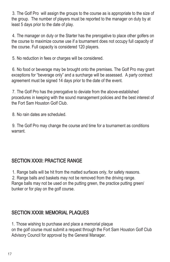3. The Golf Pro will assign the groups to the course as is appropriate to the size of the group. The number of players must be reported to the manager on duty by at least 5 days prior to the date of play.

4. The manager on duty or the Starter has the prerogative to place other golfers on the course to maximize course use if a tournament does not occupy full capacity of the course. Full capacity is considered 120 players.

5. No reduction in fees or charges will be considered.

6. No food or beverage may be brought onto the premises. The Golf Pro may grant exceptions for "beverage only" and a surcharge will be assessed. A party contract agreement must be signed 14 days prior to the date of the event.

7. The Golf Pro has the prerogative to deviate from the above-established procedures in keeping with the sound management policies and the best interest of the Fort Sam Houston Golf Club.

8. No rain dates are scheduled.

9. The Golf Pro may change the course and time for a tournament as conditions warrant.

#### SECTION XXXII: PRACTICE RANGE

1. Range balls will be hit from the matted surfaces only, for safety reasons.

2. Range balls and baskets may not be removed from the driving range.

Range balls may not be used on the putting green, the practice putting green/ bunker or for play on the golf course.

# SECTION XXXIll: MEMORIAL PLAQUES

1. Those wishing to purchase and place a memorial plaque on the golf course must submit a request through the Fort Sam Houston Golf Club Advisory Council for approval by the General Manager.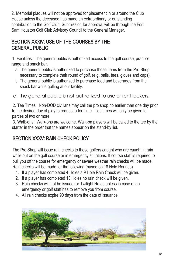2. Memorial plaques will not be approved for placement in or around the Club House unless the deceased has made an extraordinary or outstanding contribution to the Golf Club. Submission for approval will be through the Fort Sam Houston Golf Club Advisory Council to the General Manager.

#### SECTION XXXlV: USE OF THE COURSES BY THE GENERAL PUBLIC

1. Facilities: The general public is authorized access to the golf course, practice range and snack bar.

- a. The general public is authorized to purchase those items from the Pro Shop necessary to complete their round of golf, (e.g. balls, tees, gloves and caps).
- b. The general public is authorized to purchase food and beverages from the snack bar while golfing at our facility.

d. The general public is not authorized to use or rent lockers.

2. Tee Times: Non-DOD civilians may call the pro shop no earlier than one day prior to the desired day of play to request a tee time. Tee times will only be given for parties of two or more.

3. Walk-ons: Walk-ons are welcome. Walk-on players will be called to the tee by the starter in the order that the names appear on the stand-by list.

# SECTION XXXV: RAIN CHECK POLICY

The Pro Shop will issue rain checks to those golfers caught who are caught in rain while out on the golf course or in emergency situations. If course staff is required to pull you off the course for emergency or severe weather rain checks will be made. Rain checks will be made for the following (based on 18 Hole Rounds)

- 1. If a player has completed 4 Holes a 9 Hole Rain Check will be given.
- 2. If a player has completed 13 Holes no rain check will be given.
- 3. Rain checks will not be issued for Twilight Rates unless in case of an emergency or golf staff has to remove you from course.
- 4. All rain checks expire 90 days from the date of issuance.